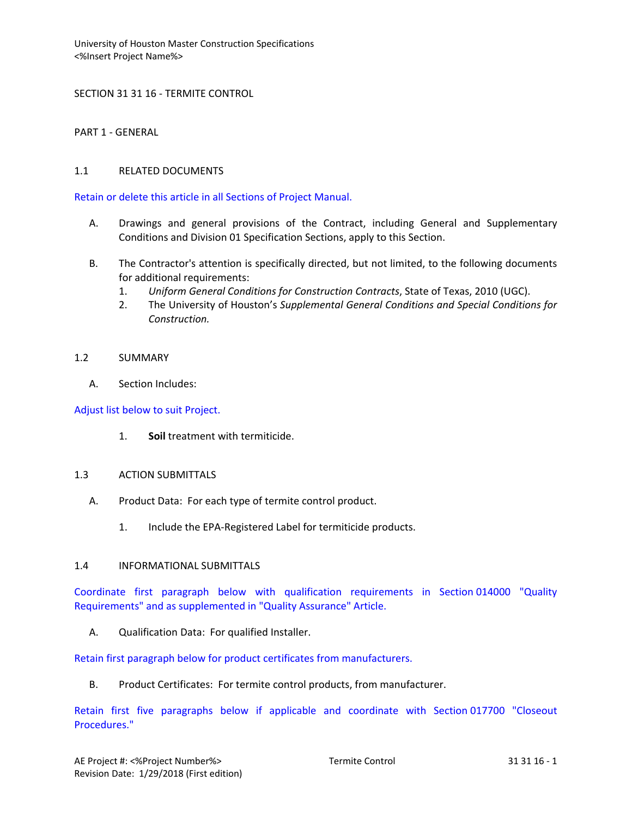SECTION 31 31 16 - TERMITE CONTROL

PART 1 - GENERAL

# 1.1 RELATED DOCUMENTS

Retain or delete this article in all Sections of Project Manual.

- A. Drawings and general provisions of the Contract, including General and Supplementary Conditions and Division 01 Specification Sections, apply to this Section.
- B. The Contractor's attention is specifically directed, but not limited, to the following documents for additional requirements:
	- 1. *Uniform General Conditions for Construction Contracts*, State of Texas, 2010 (UGC).
	- 2. The University of Houston's *Supplemental General Conditions and Special Conditions for Construction.*

## 1.2 SUMMARY

A. Section Includes:

Adjust list below to suit Project.

1. **Soil** treatment with termiticide.

### 1.3 ACTION SUBMITTALS

- A. Product Data: For each type of termite control product.
	- 1. Include the EPA-Registered Label for termiticide products.

### 1.4 INFORMATIONAL SUBMITTALS

Coordinate first paragraph below with qualification requirements in Section 014000 "Quality Requirements" and as supplemented in "Quality Assurance" Article.

A. Qualification Data: For qualified Installer.

Retain first paragraph below for product certificates from manufacturers.

B. Product Certificates: For termite control products, from manufacturer.

Retain first five paragraphs below if applicable and coordinate with Section 017700 "Closeout Procedures."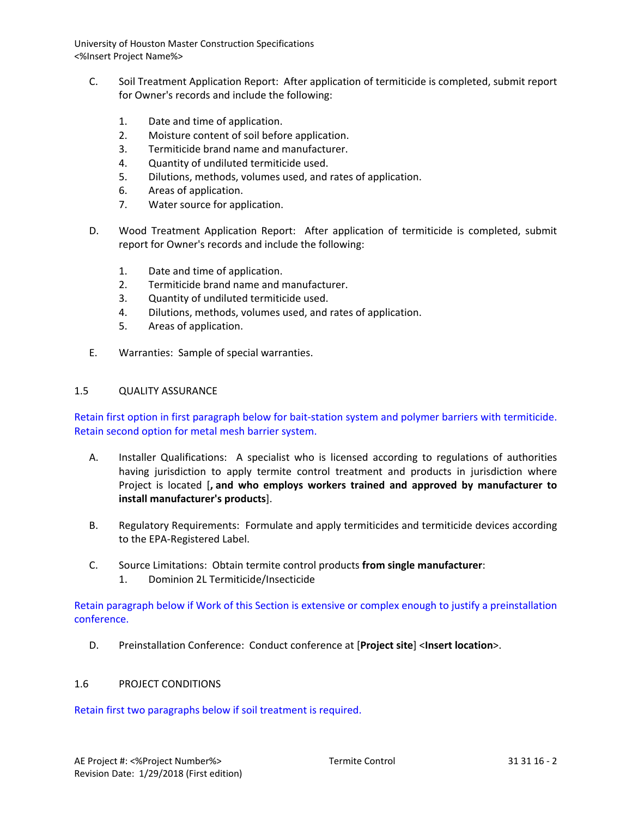- C. Soil Treatment Application Report: After application of termiticide is completed, submit report for Owner's records and include the following:
	- 1. Date and time of application.
	- 2. Moisture content of soil before application.
	- 3. Termiticide brand name and manufacturer.
	- 4. Quantity of undiluted termiticide used.
	- 5. Dilutions, methods, volumes used, and rates of application.
	- 6. Areas of application.
	- 7. Water source for application.
- D. Wood Treatment Application Report: After application of termiticide is completed, submit report for Owner's records and include the following:
	- 1. Date and time of application.
	- 2. Termiticide brand name and manufacturer.
	- 3. Quantity of undiluted termiticide used.
	- 4. Dilutions, methods, volumes used, and rates of application.
	- 5. Areas of application.
- E. Warranties: Sample of special warranties.

## 1.5 QUALITY ASSURANCE

Retain first option in first paragraph below for bait-station system and polymer barriers with termiticide. Retain second option for metal mesh barrier system.

- A. Installer Qualifications: A specialist who is licensed according to regulations of authorities having jurisdiction to apply termite control treatment and products in jurisdiction where Project is located [**, and who employs workers trained and approved by manufacturer to install manufacturer's products**].
- B. Regulatory Requirements: Formulate and apply termiticides and termiticide devices according to the EPA-Registered Label.
- C. Source Limitations: Obtain termite control products **from single manufacturer**:
	- 1. Dominion 2L Termiticide/Insecticide

Retain paragraph below if Work of this Section is extensive or complex enough to justify a preinstallation conference.

D. Preinstallation Conference: Conduct conference at [**Project site**] <**Insert location**>.

# 1.6 PROJECT CONDITIONS

Retain first two paragraphs below if soil treatment is required.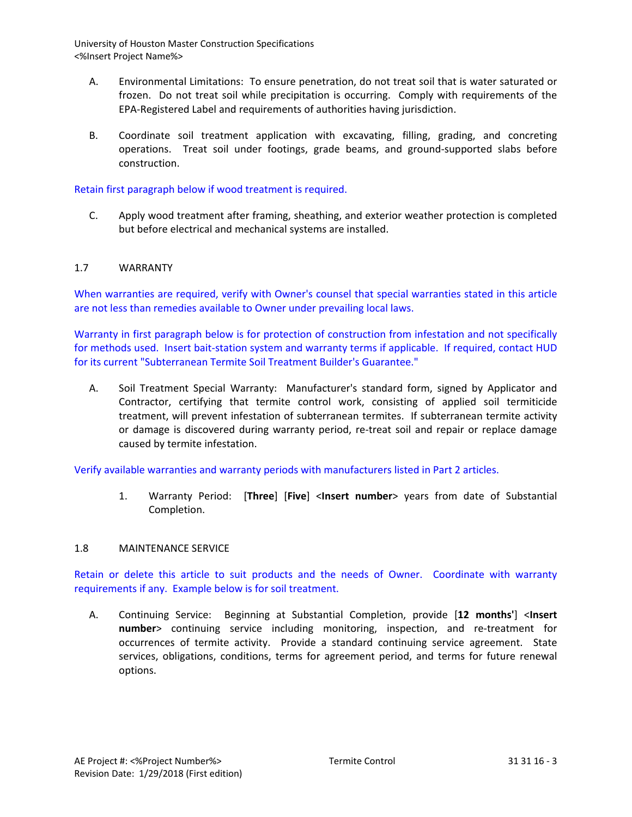- A. Environmental Limitations: To ensure penetration, do not treat soil that is water saturated or frozen. Do not treat soil while precipitation is occurring. Comply with requirements of the EPA-Registered Label and requirements of authorities having jurisdiction.
- B. Coordinate soil treatment application with excavating, filling, grading, and concreting operations. Treat soil under footings, grade beams, and ground-supported slabs before construction.

## Retain first paragraph below if wood treatment is required.

C. Apply wood treatment after framing, sheathing, and exterior weather protection is completed but before electrical and mechanical systems are installed.

## 1.7 WARRANTY

When warranties are required, verify with Owner's counsel that special warranties stated in this article are not less than remedies available to Owner under prevailing local laws.

Warranty in first paragraph below is for protection of construction from infestation and not specifically for methods used. Insert bait-station system and warranty terms if applicable. If required, contact HUD for its current "Subterranean Termite Soil Treatment Builder's Guarantee."

A. Soil Treatment Special Warranty: Manufacturer's standard form, signed by Applicator and Contractor, certifying that termite control work, consisting of applied soil termiticide treatment, will prevent infestation of subterranean termites. If subterranean termite activity or damage is discovered during warranty period, re-treat soil and repair or replace damage caused by termite infestation.

Verify available warranties and warranty periods with manufacturers listed in Part 2 articles.

1. Warranty Period: [**Three**] [**Five**] <**Insert number**> years from date of Substantial Completion.

### 1.8 MAINTENANCE SERVICE

Retain or delete this article to suit products and the needs of Owner. Coordinate with warranty requirements if any. Example below is for soil treatment.

A. Continuing Service: Beginning at Substantial Completion, provide [**12 months'**] <**Insert number**> continuing service including monitoring, inspection, and re-treatment for occurrences of termite activity. Provide a standard continuing service agreement. State services, obligations, conditions, terms for agreement period, and terms for future renewal options.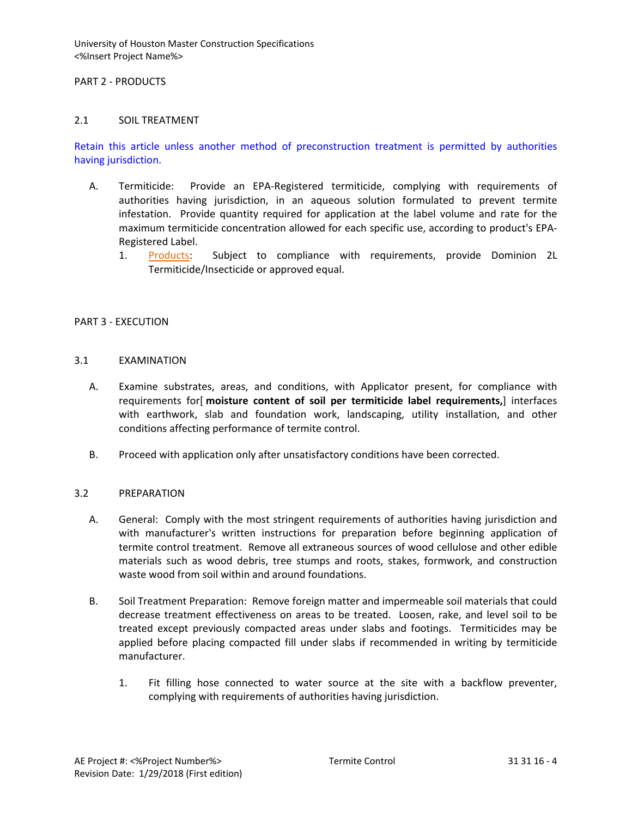### PART 2 - PRODUCTS

## 2.1 SOIL TREATMENT

Retain this article unless another method of preconstruction treatment is permitted by authorities having jurisdiction.

- A. Termiticide: Provide an EPA-Registered termiticide, complying with requirements of authorities having jurisdiction, in an aqueous solution formulated to prevent termite infestation. Provide quantity required for application at the label volume and rate for the maximum termiticide concentration allowed for each specific use, according to product's EPA-Registered Label.
	- 1. [Products:](http://www.specagent.com/LookUp/?ulid=5152&mf=04&src=wd) Subject to compliance with requirements, provide Dominion 2L Termiticide/Insecticide or approved equal.

## PART 3 - EXECUTION

### 3.1 EXAMINATION

- A. Examine substrates, areas, and conditions, with Applicator present, for compliance with requirements for[ **moisture content of soil per termiticide label requirements,**] interfaces with earthwork, slab and foundation work, landscaping, utility installation, and other conditions affecting performance of termite control.
- B. Proceed with application only after unsatisfactory conditions have been corrected.

# 3.2 PREPARATION

- A. General: Comply with the most stringent requirements of authorities having jurisdiction and with manufacturer's written instructions for preparation before beginning application of termite control treatment. Remove all extraneous sources of wood cellulose and other edible materials such as wood debris, tree stumps and roots, stakes, formwork, and construction waste wood from soil within and around foundations.
- B. Soil Treatment Preparation: Remove foreign matter and impermeable soil materials that could decrease treatment effectiveness on areas to be treated. Loosen, rake, and level soil to be treated except previously compacted areas under slabs and footings. Termiticides may be applied before placing compacted fill under slabs if recommended in writing by termiticide manufacturer.
	- 1. Fit filling hose connected to water source at the site with a backflow preventer, complying with requirements of authorities having jurisdiction.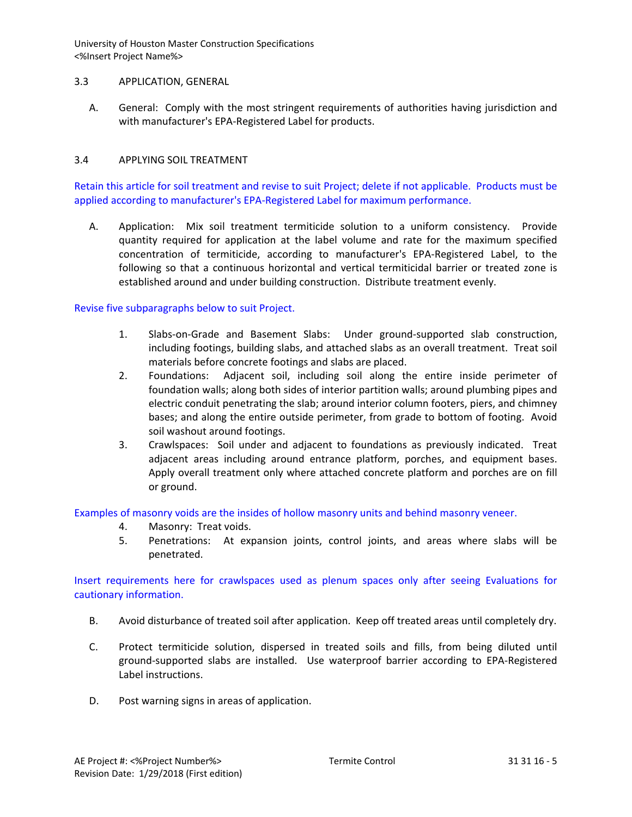## 3.3 APPLICATION, GENERAL

A. General: Comply with the most stringent requirements of authorities having jurisdiction and with manufacturer's EPA-Registered Label for products.

## 3.4 APPLYING SOIL TREATMENT

Retain this article for soil treatment and revise to suit Project; delete if not applicable. Products must be applied according to manufacturer's EPA-Registered Label for maximum performance.

A. Application: Mix soil treatment termiticide solution to a uniform consistency. Provide quantity required for application at the label volume and rate for the maximum specified concentration of termiticide, according to manufacturer's EPA-Registered Label, to the following so that a continuous horizontal and vertical termiticidal barrier or treated zone is established around and under building construction. Distribute treatment evenly.

### Revise five subparagraphs below to suit Project.

- 1. Slabs-on-Grade and Basement Slabs: Under ground-supported slab construction, including footings, building slabs, and attached slabs as an overall treatment. Treat soil materials before concrete footings and slabs are placed.
- 2. Foundations: Adjacent soil, including soil along the entire inside perimeter of foundation walls; along both sides of interior partition walls; around plumbing pipes and electric conduit penetrating the slab; around interior column footers, piers, and chimney bases; and along the entire outside perimeter, from grade to bottom of footing. Avoid soil washout around footings.
- 3. Crawlspaces: Soil under and adjacent to foundations as previously indicated. Treat adjacent areas including around entrance platform, porches, and equipment bases. Apply overall treatment only where attached concrete platform and porches are on fill or ground.

Examples of masonry voids are the insides of hollow masonry units and behind masonry veneer.

- 4. Masonry: Treat voids.
- 5. Penetrations: At expansion joints, control joints, and areas where slabs will be penetrated.

Insert requirements here for crawlspaces used as plenum spaces only after seeing Evaluations for cautionary information.

- B. Avoid disturbance of treated soil after application. Keep off treated areas until completely dry.
- C. Protect termiticide solution, dispersed in treated soils and fills, from being diluted until ground-supported slabs are installed. Use waterproof barrier according to EPA-Registered Label instructions.
- D. Post warning signs in areas of application.